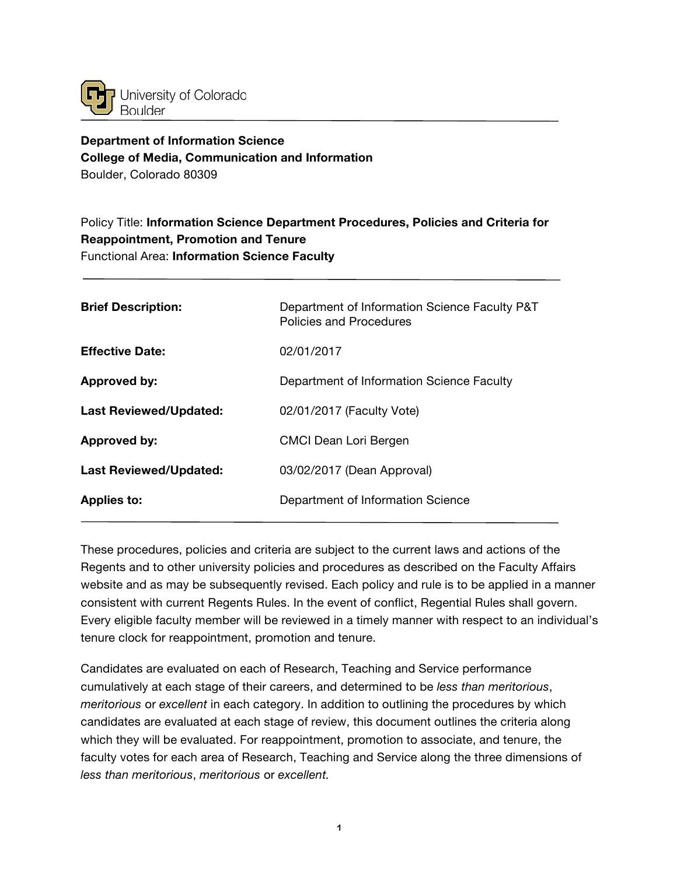

# **Department of Information Science College of Media, Communication and Information** Boulder, Colorado 80309

# Policy Title: **Information Science Department Procedures, Policies and Criteria for Reappointment, Promotion and Tenure** Functional Area: **Information Science Faculty**

| <b>Brief Description:</b>     | Department of Information Science Faculty P&T<br>Policies and Procedures |
|-------------------------------|--------------------------------------------------------------------------|
| <b>Effective Date:</b>        | 02/01/2017                                                               |
| <b>Approved by:</b>           | Department of Information Science Faculty                                |
| <b>Last Reviewed/Updated:</b> | 02/01/2017 (Faculty Vote)                                                |
| Approved by:                  | CMCI Dean Lori Bergen                                                    |
| <b>Last Reviewed/Updated:</b> | 03/02/2017 (Dean Approval)                                               |
| <b>Applies to:</b>            | Department of Information Science                                        |

These procedures, policies and criteria are subject to the current laws and actions of the Regents and to other university policies and procedures as described on the Faculty Affairs website and as may be subsequently revised. Each policy and rule is to be applied in a manner consistent with current Regents Rules. In the event of conflict, Regential Rules shall govern. Every eligible faculty member will be reviewed in a timely manner with respect to an individual's tenure clock for reappointment, promotion and tenure.

Candidates are evaluated on each of Research, Teaching and Service performance cumulatively at each stage of their careers, and determined to be *less than meritorious*, *meritorious* or *excellent* in each category. In addition to outlining the procedures by which candidates are evaluated at each stage of review, this document outlines the criteria along which they will be evaluated. For reappointment, promotion to associate, and tenure, the faculty votes for each area of Research, Teaching and Service along the three dimensions of *less than meritorious*, *meritorious* or *excellent.*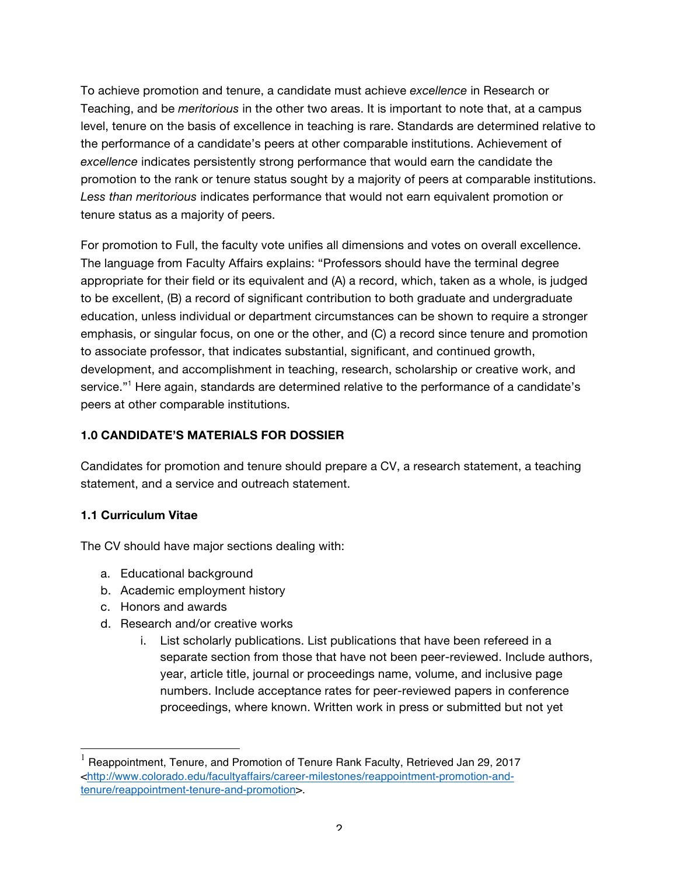To achieve promotion and tenure, a candidate must achieve *excellence* in Research or Teaching, and be *meritorious* in the other two areas. It is important to note that, at a campus level, tenure on the basis of excellence in teaching is rare. Standards are determined relative to the performance of a candidate's peers at other comparable institutions. Achievement of *excellence* indicates persistently strong performance that would earn the candidate the promotion to the rank or tenure status sought by a majority of peers at comparable institutions. *Less than meritorious* indicates performance that would not earn equivalent promotion or tenure status as a majority of peers.

For promotion to Full, the faculty vote unifies all dimensions and votes on overall excellence. The language from Faculty Affairs explains: "Professors should have the terminal degree appropriate for their field or its equivalent and (A) a record, which, taken as a whole, is judged to be excellent, (B) a record of significant contribution to both graduate and undergraduate education, unless individual or department circumstances can be shown to require a stronger emphasis, or singular focus, on one or the other, and (C) a record since tenure and promotion to associate professor, that indicates substantial, significant, and continued growth, development, and accomplishment in teaching, research, scholarship or creative work, and service."<sup>1</sup> Here again, standards are determined relative to the performance of a candidate's peers at other comparable institutions.

### **1.0 CANDIDATE'S MATERIALS FOR DOSSIER**

Candidates for promotion and tenure should prepare a CV, a research statement, a teaching statement, and a service and outreach statement.

#### **1.1 Curriculum Vitae**

The CV should have major sections dealing with:

- a. Educational background
- b. Academic employment history
- c. Honors and awards
- d. Research and/or creative works
	- i. List scholarly publications. List publications that have been refereed in a separate section from those that have not been peer-reviewed. Include authors, year, article title, journal or proceedings name, volume, and inclusive page numbers. Include acceptance rates for peer-reviewed papers in conference proceedings, where known. Written work in press or submitted but not yet

 $<sup>1</sup>$  Reappointment, Tenure, and Promotion of Tenure Rank Faculty, Retrieved Jan 29, 2017</sup> <http://www.colorado.edu/facultyaffairs/career-milestones/reappointment-promotion-andtenure/reappointment-tenure-and-promotion>.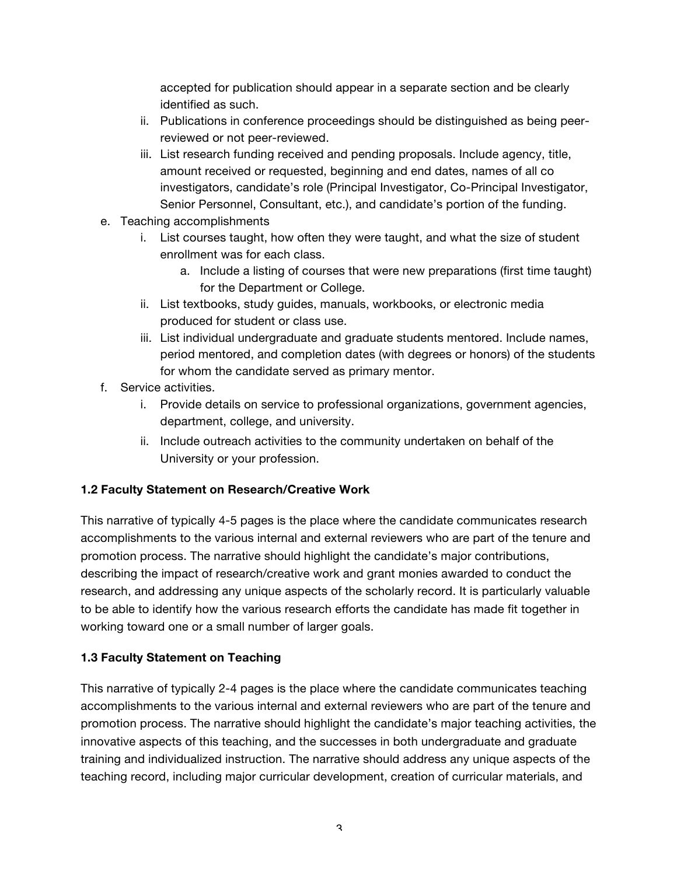accepted for publication should appear in a separate section and be clearly identified as such.

- ii. Publications in conference proceedings should be distinguished as being peerreviewed or not peer-reviewed.
- iii. List research funding received and pending proposals. Include agency, title, amount received or requested, beginning and end dates, names of all co investigators, candidate's role (Principal Investigator, Co-Principal Investigator, Senior Personnel, Consultant, etc.), and candidate's portion of the funding.
- e. Teaching accomplishments
	- i. List courses taught, how often they were taught, and what the size of student enrollment was for each class.
		- a. Include a listing of courses that were new preparations (first time taught) for the Department or College.
	- ii. List textbooks, study guides, manuals, workbooks, or electronic media produced for student or class use.
	- iii. List individual undergraduate and graduate students mentored. Include names, period mentored, and completion dates (with degrees or honors) of the students for whom the candidate served as primary mentor.
- f. Service activities.
	- i. Provide details on service to professional organizations, government agencies, department, college, and university.
	- ii. Include outreach activities to the community undertaken on behalf of the University or your profession.

# **1.2 Faculty Statement on Research/Creative Work**

This narrative of typically 4-5 pages is the place where the candidate communicates research accomplishments to the various internal and external reviewers who are part of the tenure and promotion process. The narrative should highlight the candidate's major contributions, describing the impact of research/creative work and grant monies awarded to conduct the research, and addressing any unique aspects of the scholarly record. It is particularly valuable to be able to identify how the various research efforts the candidate has made fit together in working toward one or a small number of larger goals.

# **1.3 Faculty Statement on Teaching**

This narrative of typically 2-4 pages is the place where the candidate communicates teaching accomplishments to the various internal and external reviewers who are part of the tenure and promotion process. The narrative should highlight the candidate's major teaching activities, the innovative aspects of this teaching, and the successes in both undergraduate and graduate training and individualized instruction. The narrative should address any unique aspects of the teaching record, including major curricular development, creation of curricular materials, and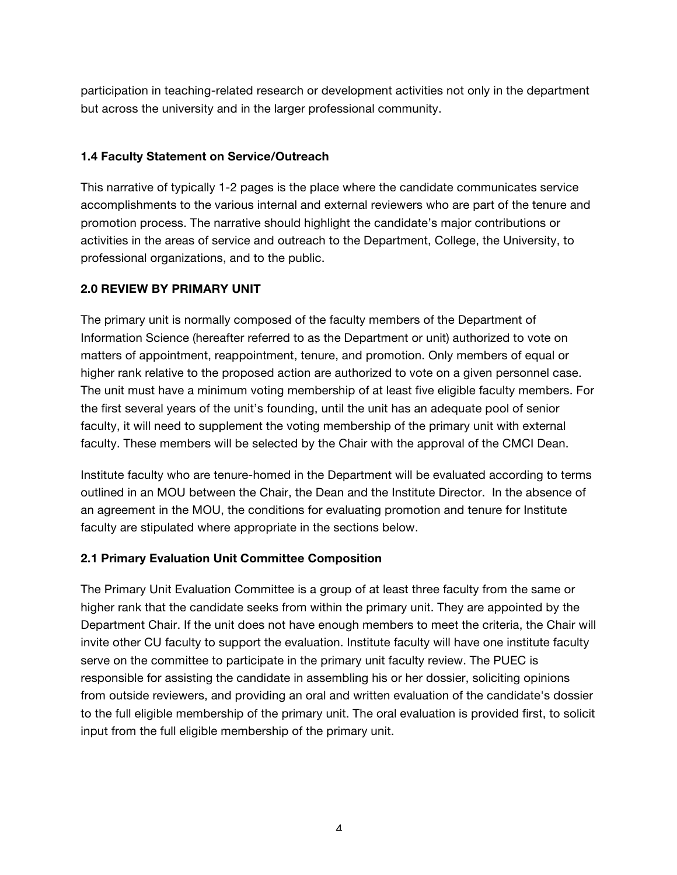participation in teaching-related research or development activities not only in the department but across the university and in the larger professional community.

#### **1.4 Faculty Statement on Service/Outreach**

This narrative of typically 1-2 pages is the place where the candidate communicates service accomplishments to the various internal and external reviewers who are part of the tenure and promotion process. The narrative should highlight the candidate's major contributions or activities in the areas of service and outreach to the Department, College, the University, to professional organizations, and to the public.

#### **2.0 REVIEW BY PRIMARY UNIT**

The primary unit is normally composed of the faculty members of the Department of Information Science (hereafter referred to as the Department or unit) authorized to vote on matters of appointment, reappointment, tenure, and promotion. Only members of equal or higher rank relative to the proposed action are authorized to vote on a given personnel case. The unit must have a minimum voting membership of at least five eligible faculty members. For the first several years of the unit's founding, until the unit has an adequate pool of senior faculty, it will need to supplement the voting membership of the primary unit with external faculty. These members will be selected by the Chair with the approval of the CMCI Dean.

Institute faculty who are tenure-homed in the Department will be evaluated according to terms outlined in an MOU between the Chair, the Dean and the Institute Director. In the absence of an agreement in the MOU, the conditions for evaluating promotion and tenure for Institute faculty are stipulated where appropriate in the sections below.

#### **2.1 Primary Evaluation Unit Committee Composition**

The Primary Unit Evaluation Committee is a group of at least three faculty from the same or higher rank that the candidate seeks from within the primary unit. They are appointed by the Department Chair. If the unit does not have enough members to meet the criteria, the Chair will invite other CU faculty to support the evaluation. Institute faculty will have one institute faculty serve on the committee to participate in the primary unit faculty review. The PUEC is responsible for assisting the candidate in assembling his or her dossier, soliciting opinions from outside reviewers, and providing an oral and written evaluation of the candidate's dossier to the full eligible membership of the primary unit. The oral evaluation is provided first, to solicit input from the full eligible membership of the primary unit.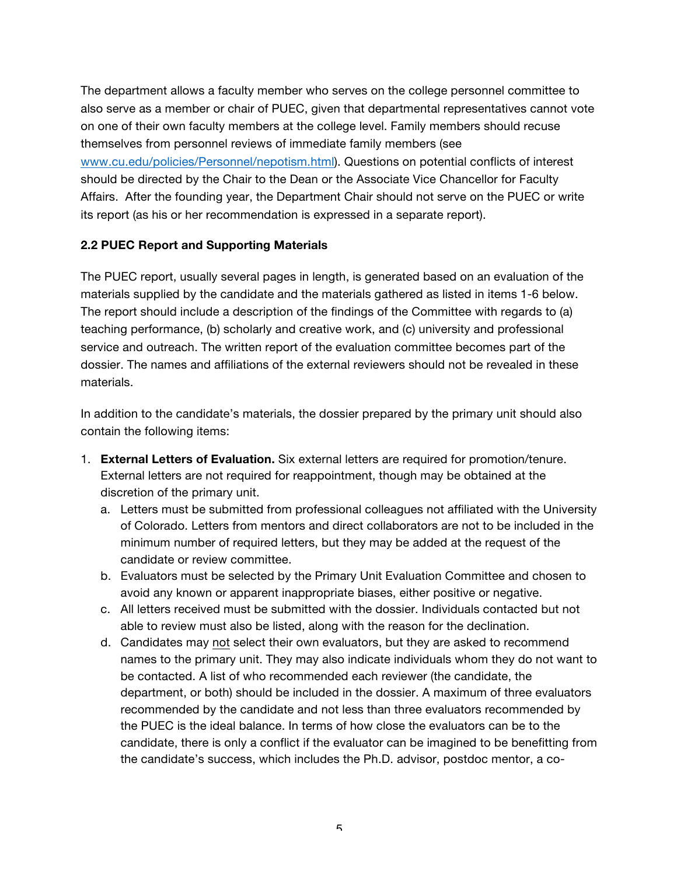The department allows a faculty member who serves on the college personnel committee to also serve as a member or chair of PUEC, given that departmental representatives cannot vote on one of their own faculty members at the college level. Family members should recuse themselves from personnel reviews of immediate family members (see www.cu.edu/policies/Personnel/nepotism.html). Questions on potential conflicts of interest should be directed by the Chair to the Dean or the Associate Vice Chancellor for Faculty Affairs. After the founding year, the Department Chair should not serve on the PUEC or write its report (as his or her recommendation is expressed in a separate report).

#### **2.2 PUEC Report and Supporting Materials**

The PUEC report, usually several pages in length, is generated based on an evaluation of the materials supplied by the candidate and the materials gathered as listed in items 1-6 below. The report should include a description of the findings of the Committee with regards to (a) teaching performance, (b) scholarly and creative work, and (c) university and professional service and outreach. The written report of the evaluation committee becomes part of the dossier. The names and affiliations of the external reviewers should not be revealed in these materials.

In addition to the candidate's materials, the dossier prepared by the primary unit should also contain the following items:

- 1. **External Letters of Evaluation.** Six external letters are required for promotion/tenure. External letters are not required for reappointment, though may be obtained at the discretion of the primary unit.
	- a. Letters must be submitted from professional colleagues not affiliated with the University of Colorado. Letters from mentors and direct collaborators are not to be included in the minimum number of required letters, but they may be added at the request of the candidate or review committee.
	- b. Evaluators must be selected by the Primary Unit Evaluation Committee and chosen to avoid any known or apparent inappropriate biases, either positive or negative.
	- c. All letters received must be submitted with the dossier. Individuals contacted but not able to review must also be listed, along with the reason for the declination.
	- d. Candidates may not select their own evaluators, but they are asked to recommend names to the primary unit. They may also indicate individuals whom they do not want to be contacted. A list of who recommended each reviewer (the candidate, the department, or both) should be included in the dossier. A maximum of three evaluators recommended by the candidate and not less than three evaluators recommended by the PUEC is the ideal balance. In terms of how close the evaluators can be to the candidate, there is only a conflict if the evaluator can be imagined to be benefitting from the candidate's success, which includes the Ph.D. advisor, postdoc mentor, a co-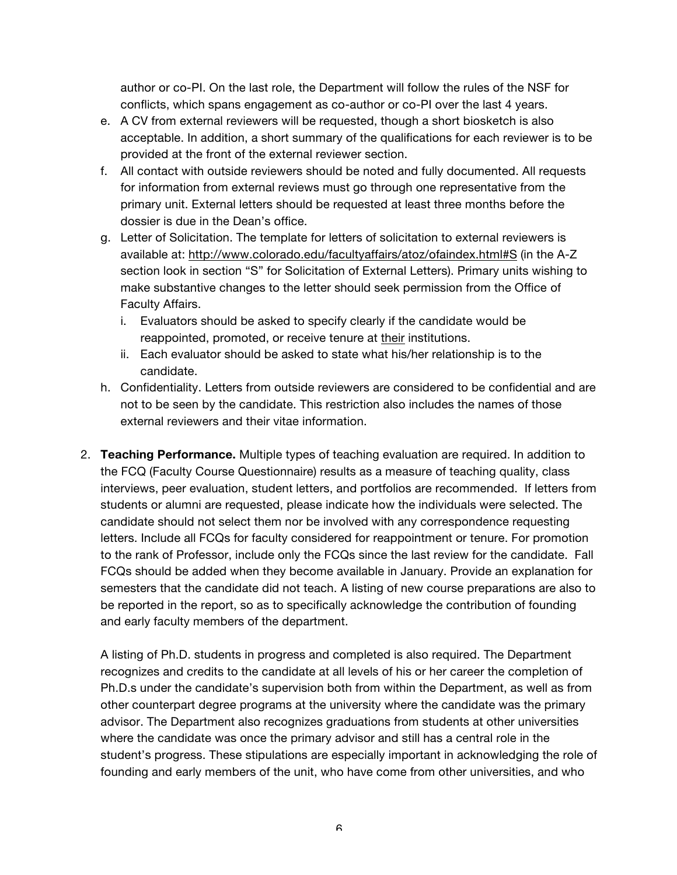author or co-PI. On the last role, the Department will follow the rules of the NSF for conflicts, which spans engagement as co-author or co-PI over the last 4 years.

- e. A CV from external reviewers will be requested, though a short biosketch is also acceptable. In addition, a short summary of the qualifications for each reviewer is to be provided at the front of the external reviewer section.
- f. All contact with outside reviewers should be noted and fully documented. All requests for information from external reviews must go through one representative from the primary unit. External letters should be requested at least three months before the dossier is due in the Dean's office.
- g. Letter of Solicitation. The template for letters of solicitation to external reviewers is available at: http://www.colorado.edu/facultyaffairs/atoz/ofaindex.html#S (in the A-Z section look in section "S" for Solicitation of External Letters). Primary units wishing to make substantive changes to the letter should seek permission from the Office of Faculty Affairs.
	- i. Evaluators should be asked to specify clearly if the candidate would be reappointed, promoted, or receive tenure at their institutions.
	- ii. Each evaluator should be asked to state what his/her relationship is to the candidate.
- h. Confidentiality. Letters from outside reviewers are considered to be confidential and are not to be seen by the candidate. This restriction also includes the names of those external reviewers and their vitae information.
- 2. **Teaching Performance.** Multiple types of teaching evaluation are required. In addition to the FCQ (Faculty Course Questionnaire) results as a measure of teaching quality, class interviews, peer evaluation, student letters, and portfolios are recommended. If letters from students or alumni are requested, please indicate how the individuals were selected. The candidate should not select them nor be involved with any correspondence requesting letters. Include all FCQs for faculty considered for reappointment or tenure. For promotion to the rank of Professor, include only the FCQs since the last review for the candidate. Fall FCQs should be added when they become available in January. Provide an explanation for semesters that the candidate did not teach. A listing of new course preparations are also to be reported in the report, so as to specifically acknowledge the contribution of founding and early faculty members of the department.

A listing of Ph.D. students in progress and completed is also required. The Department recognizes and credits to the candidate at all levels of his or her career the completion of Ph.D.s under the candidate's supervision both from within the Department, as well as from other counterpart degree programs at the university where the candidate was the primary advisor. The Department also recognizes graduations from students at other universities where the candidate was once the primary advisor and still has a central role in the student's progress. These stipulations are especially important in acknowledging the role of founding and early members of the unit, who have come from other universities, and who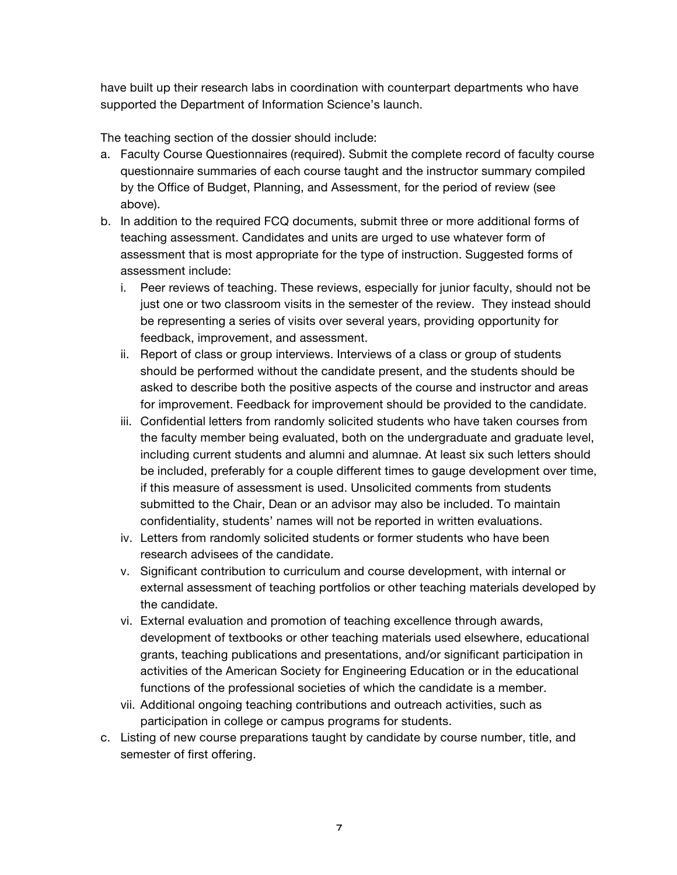have built up their research labs in coordination with counterpart departments who have supported the Department of Information Science's launch.

The teaching section of the dossier should include:

- a. Faculty Course Questionnaires (required). Submit the complete record of faculty course questionnaire summaries of each course taught and the instructor summary compiled by the Office of Budget, Planning, and Assessment, for the period of review (see above).
- b. In addition to the required FCQ documents, submit three or more additional forms of teaching assessment. Candidates and units are urged to use whatever form of assessment that is most appropriate for the type of instruction. Suggested forms of assessment include:
	- i. Peer reviews of teaching. These reviews, especially for junior faculty, should not be just one or two classroom visits in the semester of the review. They instead should be representing a series of visits over several years, providing opportunity for feedback, improvement, and assessment.
	- ii. Report of class or group interviews. Interviews of a class or group of students should be performed without the candidate present, and the students should be asked to describe both the positive aspects of the course and instructor and areas for improvement. Feedback for improvement should be provided to the candidate.
	- iii. Confidential letters from randomly solicited students who have taken courses from the faculty member being evaluated, both on the undergraduate and graduate level, including current students and alumni and alumnae. At least six such letters should be included, preferably for a couple different times to gauge development over time, if this measure of assessment is used. Unsolicited comments from students submitted to the Chair, Dean or an advisor may also be included. To maintain confidentiality, students' names will not be reported in written evaluations.
	- iv. Letters from randomly solicited students or former students who have been research advisees of the candidate.
	- v. Significant contribution to curriculum and course development, with internal or external assessment of teaching portfolios or other teaching materials developed by the candidate.
	- vi. External evaluation and promotion of teaching excellence through awards, development of textbooks or other teaching materials used elsewhere, educational grants, teaching publications and presentations, and/or significant participation in activities of the American Society for Engineering Education or in the educational functions of the professional societies of which the candidate is a member.
	- vii. Additional ongoing teaching contributions and outreach activities, such as participation in college or campus programs for students.
- c. Listing of new course preparations taught by candidate by course number, title, and semester of first offering.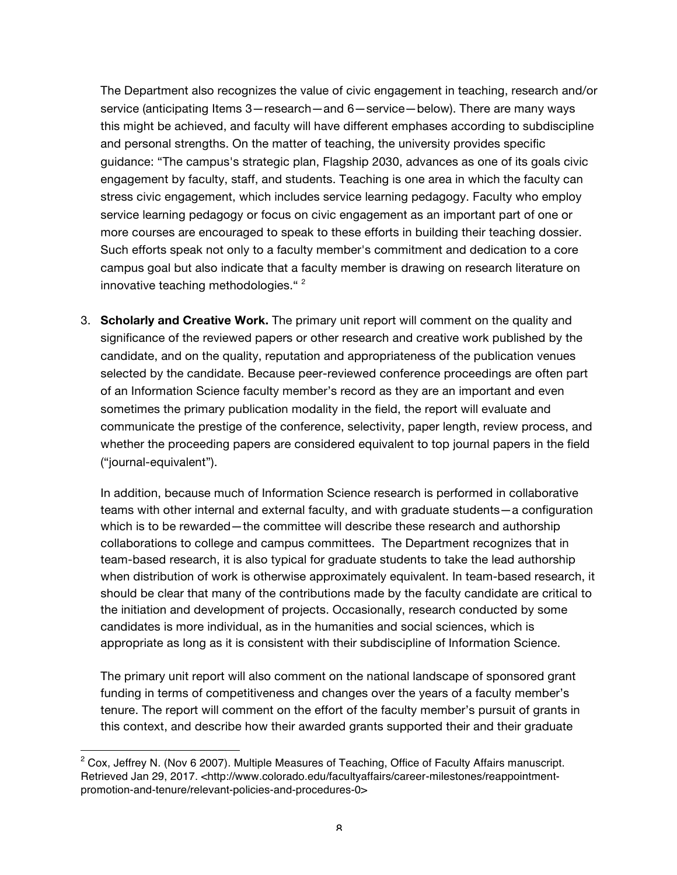The Department also recognizes the value of civic engagement in teaching, research and/or service (anticipating Items 3—research—and 6—service—below). There are many ways this might be achieved, and faculty will have different emphases according to subdiscipline and personal strengths. On the matter of teaching, the university provides specific guidance: "The campus's strategic plan, Flagship 2030, advances as one of its goals civic engagement by faculty, staff, and students. Teaching is one area in which the faculty can stress civic engagement, which includes service learning pedagogy. Faculty who employ service learning pedagogy or focus on civic engagement as an important part of one or more courses are encouraged to speak to these efforts in building their teaching dossier. Such efforts speak not only to a faculty member's commitment and dedication to a core campus goal but also indicate that a faculty member is drawing on research literature on innovative teaching methodologies."<sup>2</sup>

3. **Scholarly and Creative Work.** The primary unit report will comment on the quality and significance of the reviewed papers or other research and creative work published by the candidate, and on the quality, reputation and appropriateness of the publication venues selected by the candidate. Because peer-reviewed conference proceedings are often part of an Information Science faculty member's record as they are an important and even sometimes the primary publication modality in the field, the report will evaluate and communicate the prestige of the conference, selectivity, paper length, review process, and whether the proceeding papers are considered equivalent to top journal papers in the field ("journal-equivalent").

In addition, because much of Information Science research is performed in collaborative teams with other internal and external faculty, and with graduate students—a configuration which is to be rewarded—the committee will describe these research and authorship collaborations to college and campus committees. The Department recognizes that in team-based research, it is also typical for graduate students to take the lead authorship when distribution of work is otherwise approximately equivalent. In team-based research, it should be clear that many of the contributions made by the faculty candidate are critical to the initiation and development of projects. Occasionally, research conducted by some candidates is more individual, as in the humanities and social sciences, which is appropriate as long as it is consistent with their subdiscipline of Information Science.

The primary unit report will also comment on the national landscape of sponsored grant funding in terms of competitiveness and changes over the years of a faculty member's tenure. The report will comment on the effort of the faculty member's pursuit of grants in this context, and describe how their awarded grants supported their and their graduate

 $\overline{a}$ 

 $2$  Cox, Jeffrey N. (Nov 6 2007). Multiple Measures of Teaching, Office of Faculty Affairs manuscript. Retrieved Jan 29, 2017. <http://www.colorado.edu/facultyaffairs/career-milestones/reappointmentpromotion-and-tenure/relevant-policies-and-procedures-0>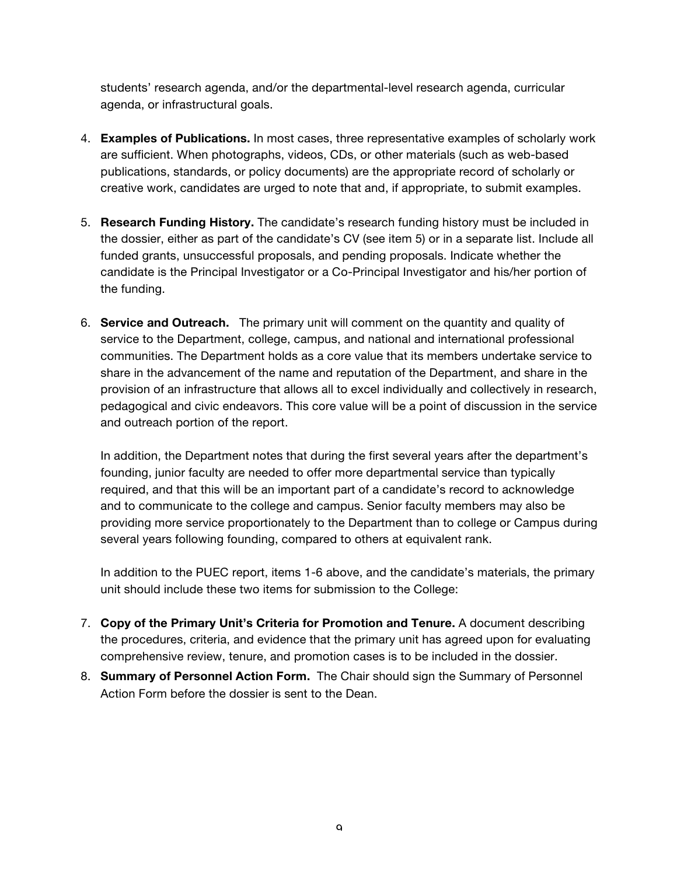students' research agenda, and/or the departmental-level research agenda, curricular agenda, or infrastructural goals.

- 4. **Examples of Publications.** In most cases, three representative examples of scholarly work are sufficient. When photographs, videos, CDs, or other materials (such as web-based publications, standards, or policy documents) are the appropriate record of scholarly or creative work, candidates are urged to note that and, if appropriate, to submit examples.
- 5. **Research Funding History.** The candidate's research funding history must be included in the dossier, either as part of the candidate's CV (see item 5) or in a separate list. Include all funded grants, unsuccessful proposals, and pending proposals. Indicate whether the candidate is the Principal Investigator or a Co-Principal Investigator and his/her portion of the funding.
- 6. **Service and Outreach.** The primary unit will comment on the quantity and quality of service to the Department, college, campus, and national and international professional communities. The Department holds as a core value that its members undertake service to share in the advancement of the name and reputation of the Department, and share in the provision of an infrastructure that allows all to excel individually and collectively in research, pedagogical and civic endeavors. This core value will be a point of discussion in the service and outreach portion of the report.

In addition, the Department notes that during the first several years after the department's founding, junior faculty are needed to offer more departmental service than typically required, and that this will be an important part of a candidate's record to acknowledge and to communicate to the college and campus. Senior faculty members may also be providing more service proportionately to the Department than to college or Campus during several years following founding, compared to others at equivalent rank.

In addition to the PUEC report, items 1-6 above, and the candidate's materials, the primary unit should include these two items for submission to the College:

- 7. **Copy of the Primary Unit's Criteria for Promotion and Tenure.** A document describing the procedures, criteria, and evidence that the primary unit has agreed upon for evaluating comprehensive review, tenure, and promotion cases is to be included in the dossier.
- 8. **Summary of Personnel Action Form.** The Chair should sign the Summary of Personnel Action Form before the dossier is sent to the Dean.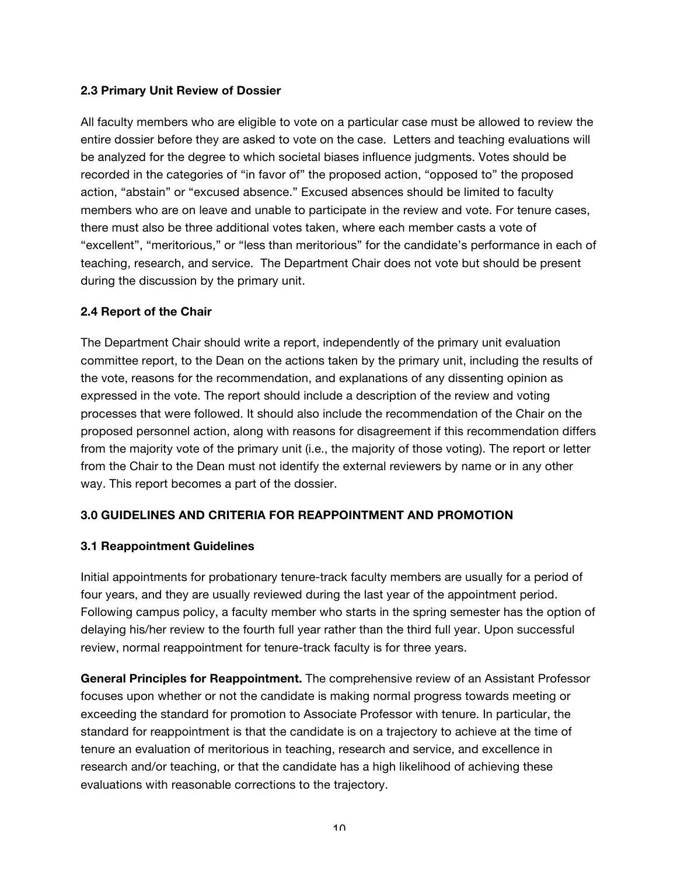#### **2.3 Primary Unit Review of Dossier**

All faculty members who are eligible to vote on a particular case must be allowed to review the entire dossier before they are asked to vote on the case. Letters and teaching evaluations will be analyzed for the degree to which societal biases influence judgments. Votes should be recorded in the categories of "in favor of" the proposed action, "opposed to" the proposed action, "abstain" or "excused absence." Excused absences should be limited to faculty members who are on leave and unable to participate in the review and vote. For tenure cases, there must also be three additional votes taken, where each member casts a vote of "excellent", "meritorious," or "less than meritorious" for the candidate's performance in each of teaching, research, and service. The Department Chair does not vote but should be present during the discussion by the primary unit.

#### **2.4 Report of the Chair**

The Department Chair should write a report, independently of the primary unit evaluation committee report, to the Dean on the actions taken by the primary unit, including the results of the vote, reasons for the recommendation, and explanations of any dissenting opinion as expressed in the vote. The report should include a description of the review and voting processes that were followed. It should also include the recommendation of the Chair on the proposed personnel action, along with reasons for disagreement if this recommendation differs from the majority vote of the primary unit (i.e., the majority of those voting). The report or letter from the Chair to the Dean must not identify the external reviewers by name or in any other way. This report becomes a part of the dossier.

# **3.0 GUIDELINES AND CRITERIA FOR REAPPOINTMENT AND PROMOTION**

#### **3.1 Reappointment Guidelines**

Initial appointments for probationary tenure-track faculty members are usually for a period of four years, and they are usually reviewed during the last year of the appointment period. Following campus policy, a faculty member who starts in the spring semester has the option of delaying his/her review to the fourth full year rather than the third full year. Upon successful review, normal reappointment for tenure-track faculty is for three years.

**General Principles for Reappointment.** The comprehensive review of an Assistant Professor focuses upon whether or not the candidate is making normal progress towards meeting or exceeding the standard for promotion to Associate Professor with tenure. In particular, the standard for reappointment is that the candidate is on a trajectory to achieve at the time of tenure an evaluation of meritorious in teaching, research and service, and excellence in research and/or teaching, or that the candidate has a high likelihood of achieving these evaluations with reasonable corrections to the trajectory.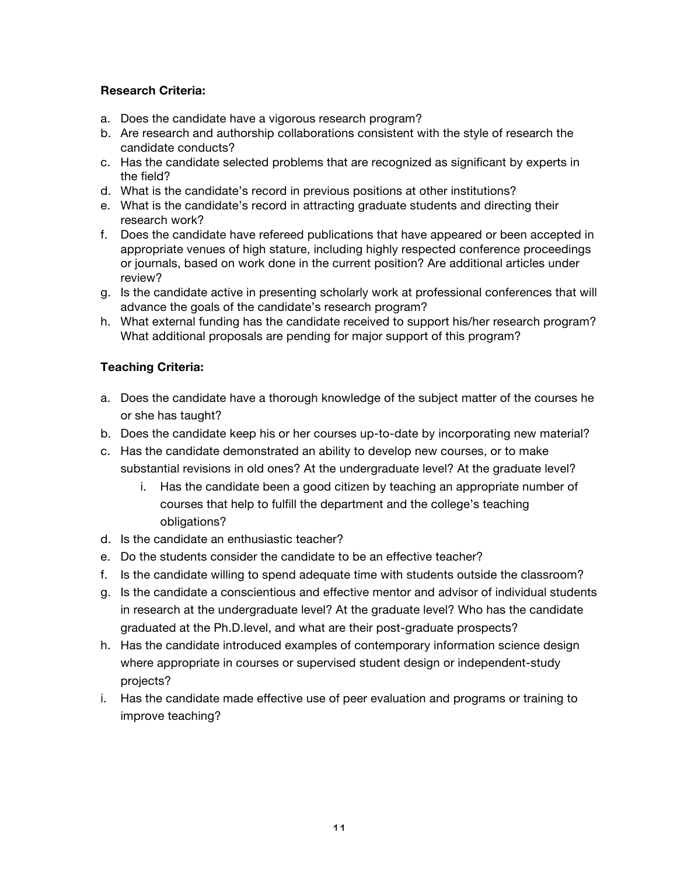# **Research Criteria:**

- a. Does the candidate have a vigorous research program?
- b. Are research and authorship collaborations consistent with the style of research the candidate conducts?
- c. Has the candidate selected problems that are recognized as significant by experts in the field?
- d. What is the candidate's record in previous positions at other institutions?
- e. What is the candidate's record in attracting graduate students and directing their research work?
- f. Does the candidate have refereed publications that have appeared or been accepted in appropriate venues of high stature, including highly respected conference proceedings or journals, based on work done in the current position? Are additional articles under review?
- g. Is the candidate active in presenting scholarly work at professional conferences that will advance the goals of the candidate's research program?
- h. What external funding has the candidate received to support his/her research program? What additional proposals are pending for major support of this program?

# **Teaching Criteria:**

- a. Does the candidate have a thorough knowledge of the subject matter of the courses he or she has taught?
- b. Does the candidate keep his or her courses up-to-date by incorporating new material?
- c. Has the candidate demonstrated an ability to develop new courses, or to make substantial revisions in old ones? At the undergraduate level? At the graduate level?
	- i. Has the candidate been a good citizen by teaching an appropriate number of courses that help to fulfill the department and the college's teaching obligations?
- d. Is the candidate an enthusiastic teacher?
- e. Do the students consider the candidate to be an effective teacher?
- f. Is the candidate willing to spend adequate time with students outside the classroom?
- g. Is the candidate a conscientious and effective mentor and advisor of individual students in research at the undergraduate level? At the graduate level? Who has the candidate graduated at the Ph.D.level, and what are their post-graduate prospects?
- h. Has the candidate introduced examples of contemporary information science design where appropriate in courses or supervised student design or independent-study projects?
- i. Has the candidate made effective use of peer evaluation and programs or training to improve teaching?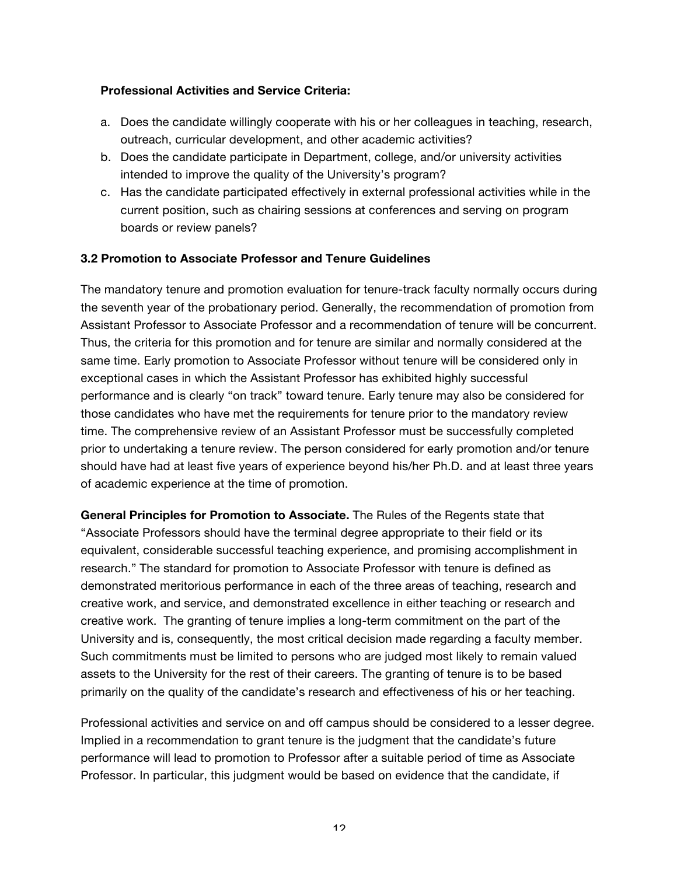#### **Professional Activities and Service Criteria:**

- a. Does the candidate willingly cooperate with his or her colleagues in teaching, research, outreach, curricular development, and other academic activities?
- b. Does the candidate participate in Department, college, and/or university activities intended to improve the quality of the University's program?
- c. Has the candidate participated effectively in external professional activities while in the current position, such as chairing sessions at conferences and serving on program boards or review panels?

#### **3.2 Promotion to Associate Professor and Tenure Guidelines**

The mandatory tenure and promotion evaluation for tenure-track faculty normally occurs during the seventh year of the probationary period. Generally, the recommendation of promotion from Assistant Professor to Associate Professor and a recommendation of tenure will be concurrent. Thus, the criteria for this promotion and for tenure are similar and normally considered at the same time. Early promotion to Associate Professor without tenure will be considered only in exceptional cases in which the Assistant Professor has exhibited highly successful performance and is clearly "on track" toward tenure. Early tenure may also be considered for those candidates who have met the requirements for tenure prior to the mandatory review time. The comprehensive review of an Assistant Professor must be successfully completed prior to undertaking a tenure review. The person considered for early promotion and/or tenure should have had at least five years of experience beyond his/her Ph.D. and at least three years of academic experience at the time of promotion.

**General Principles for Promotion to Associate.** The Rules of the Regents state that "Associate Professors should have the terminal degree appropriate to their field or its equivalent, considerable successful teaching experience, and promising accomplishment in research." The standard for promotion to Associate Professor with tenure is defined as demonstrated meritorious performance in each of the three areas of teaching, research and creative work, and service, and demonstrated excellence in either teaching or research and creative work. The granting of tenure implies a long-term commitment on the part of the University and is, consequently, the most critical decision made regarding a faculty member. Such commitments must be limited to persons who are judged most likely to remain valued assets to the University for the rest of their careers. The granting of tenure is to be based primarily on the quality of the candidate's research and effectiveness of his or her teaching.

Professional activities and service on and off campus should be considered to a lesser degree. Implied in a recommendation to grant tenure is the judgment that the candidate's future performance will lead to promotion to Professor after a suitable period of time as Associate Professor. In particular, this judgment would be based on evidence that the candidate, if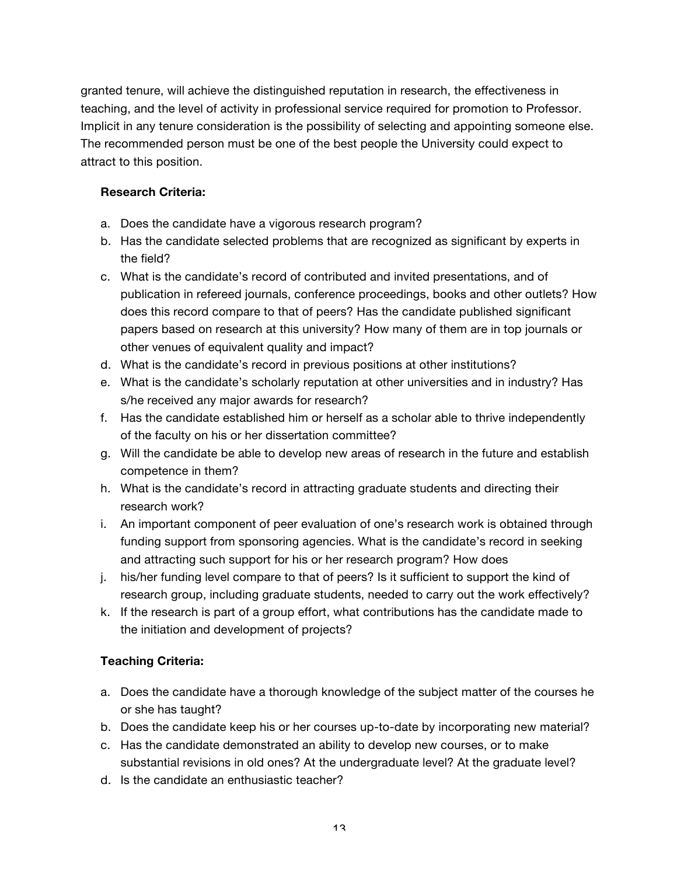granted tenure, will achieve the distinguished reputation in research, the effectiveness in teaching, and the level of activity in professional service required for promotion to Professor. Implicit in any tenure consideration is the possibility of selecting and appointing someone else. The recommended person must be one of the best people the University could expect to attract to this position.

### **Research Criteria:**

- a. Does the candidate have a vigorous research program?
- b. Has the candidate selected problems that are recognized as significant by experts in the field?
- c. What is the candidate's record of contributed and invited presentations, and of publication in refereed journals, conference proceedings, books and other outlets? How does this record compare to that of peers? Has the candidate published significant papers based on research at this university? How many of them are in top journals or other venues of equivalent quality and impact?
- d. What is the candidate's record in previous positions at other institutions?
- e. What is the candidate's scholarly reputation at other universities and in industry? Has s/he received any major awards for research?
- f. Has the candidate established him or herself as a scholar able to thrive independently of the faculty on his or her dissertation committee?
- g. Will the candidate be able to develop new areas of research in the future and establish competence in them?
- h. What is the candidate's record in attracting graduate students and directing their research work?
- i. An important component of peer evaluation of one's research work is obtained through funding support from sponsoring agencies. What is the candidate's record in seeking and attracting such support for his or her research program? How does
- j. his/her funding level compare to that of peers? Is it sufficient to support the kind of research group, including graduate students, needed to carry out the work effectively?
- k. If the research is part of a group effort, what contributions has the candidate made to the initiation and development of projects?

# **Teaching Criteria:**

- a. Does the candidate have a thorough knowledge of the subject matter of the courses he or she has taught?
- b. Does the candidate keep his or her courses up-to-date by incorporating new material?
- c. Has the candidate demonstrated an ability to develop new courses, or to make substantial revisions in old ones? At the undergraduate level? At the graduate level?
- d. Is the candidate an enthusiastic teacher?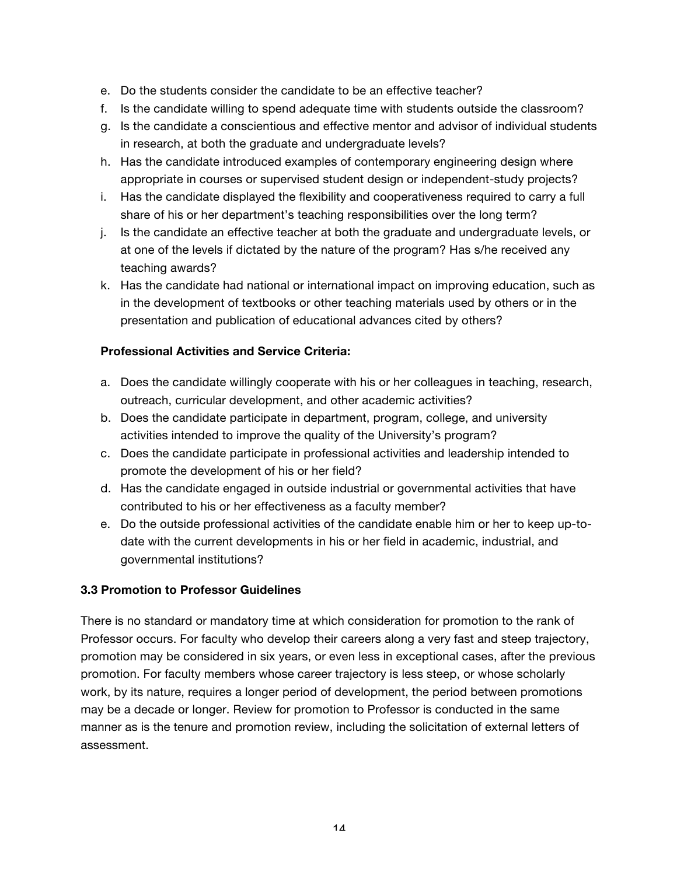- e. Do the students consider the candidate to be an effective teacher?
- f. Is the candidate willing to spend adequate time with students outside the classroom?
- g. Is the candidate a conscientious and effective mentor and advisor of individual students in research, at both the graduate and undergraduate levels?
- h. Has the candidate introduced examples of contemporary engineering design where appropriate in courses or supervised student design or independent-study projects?
- i. Has the candidate displayed the flexibility and cooperativeness required to carry a full share of his or her department's teaching responsibilities over the long term?
- j. Is the candidate an effective teacher at both the graduate and undergraduate levels, or at one of the levels if dictated by the nature of the program? Has s/he received any teaching awards?
- k. Has the candidate had national or international impact on improving education, such as in the development of textbooks or other teaching materials used by others or in the presentation and publication of educational advances cited by others?

#### **Professional Activities and Service Criteria:**

- a. Does the candidate willingly cooperate with his or her colleagues in teaching, research, outreach, curricular development, and other academic activities?
- b. Does the candidate participate in department, program, college, and university activities intended to improve the quality of the University's program?
- c. Does the candidate participate in professional activities and leadership intended to promote the development of his or her field?
- d. Has the candidate engaged in outside industrial or governmental activities that have contributed to his or her effectiveness as a faculty member?
- e. Do the outside professional activities of the candidate enable him or her to keep up-todate with the current developments in his or her field in academic, industrial, and governmental institutions?

# **3.3 Promotion to Professor Guidelines**

There is no standard or mandatory time at which consideration for promotion to the rank of Professor occurs. For faculty who develop their careers along a very fast and steep trajectory, promotion may be considered in six years, or even less in exceptional cases, after the previous promotion. For faculty members whose career trajectory is less steep, or whose scholarly work, by its nature, requires a longer period of development, the period between promotions may be a decade or longer. Review for promotion to Professor is conducted in the same manner as is the tenure and promotion review, including the solicitation of external letters of assessment.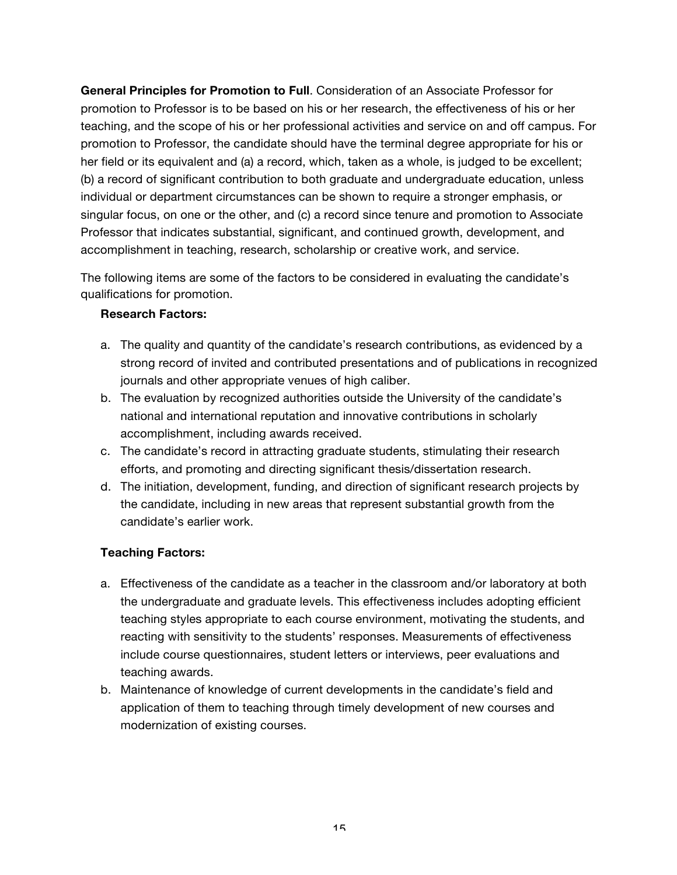**General Principles for Promotion to Full**. Consideration of an Associate Professor for promotion to Professor is to be based on his or her research, the effectiveness of his or her teaching, and the scope of his or her professional activities and service on and off campus. For promotion to Professor, the candidate should have the terminal degree appropriate for his or her field or its equivalent and (a) a record, which, taken as a whole, is judged to be excellent; (b) a record of significant contribution to both graduate and undergraduate education, unless individual or department circumstances can be shown to require a stronger emphasis, or singular focus, on one or the other, and (c) a record since tenure and promotion to Associate Professor that indicates substantial, significant, and continued growth, development, and accomplishment in teaching, research, scholarship or creative work, and service.

The following items are some of the factors to be considered in evaluating the candidate's qualifications for promotion.

#### **Research Factors:**

- a. The quality and quantity of the candidate's research contributions, as evidenced by a strong record of invited and contributed presentations and of publications in recognized journals and other appropriate venues of high caliber.
- b. The evaluation by recognized authorities outside the University of the candidate's national and international reputation and innovative contributions in scholarly accomplishment, including awards received.
- c. The candidate's record in attracting graduate students, stimulating their research efforts, and promoting and directing significant thesis/dissertation research.
- d. The initiation, development, funding, and direction of significant research projects by the candidate, including in new areas that represent substantial growth from the candidate's earlier work.

# **Teaching Factors:**

- a. Effectiveness of the candidate as a teacher in the classroom and/or laboratory at both the undergraduate and graduate levels. This effectiveness includes adopting efficient teaching styles appropriate to each course environment, motivating the students, and reacting with sensitivity to the students' responses. Measurements of effectiveness include course questionnaires, student letters or interviews, peer evaluations and teaching awards.
- b. Maintenance of knowledge of current developments in the candidate's field and application of them to teaching through timely development of new courses and modernization of existing courses.